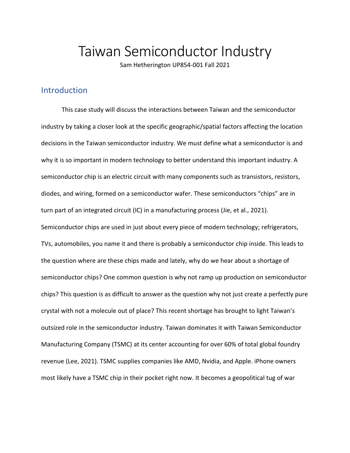# Taiwan Semiconductor Industry

Sam Hetherington UP854-001 Fall 2021

# Introduction

This case study will discuss the interactions between Taiwan and the semiconductor industry by taking a closer look at the specific geographic/spatial factors affecting the location decisions in the Taiwan semiconductor industry. We must define what a semiconductor is and why it is so important in modern technology to better understand this important industry. A semiconductor chip is an electric circuit with many components such as transistors, resistors, diodes, and wiring, formed on a semiconductor wafer. These semiconductors "chips" are in turn part of an integrated circuit (IC) in a manufacturing process (Jie, et al., 2021). Semiconductor chips are used in just about every piece of modern technology; refrigerators, TVs, automobiles, you name it and there is probably a semiconductor chip inside. This leads to the question where are these chips made and lately, why do we hear about a shortage of semiconductor chips? One common question is why not ramp up production on semiconductor chips? This question is as difficult to answer as the question why not just create a perfectly pure crystal with not a molecule out of place? This recent shortage has brought to light Taiwan's outsized role in the semiconductor industry. Taiwan dominates it with Taiwan Semiconductor Manufacturing Company (TSMC) at its center accounting for over 60% of total global foundry revenue (Lee, 2021). TSMC supplies companies like AMD, Nvidia, and Apple. iPhone owners most likely have a TSMC chip in their pocket right now. It becomes a geopolitical tug of war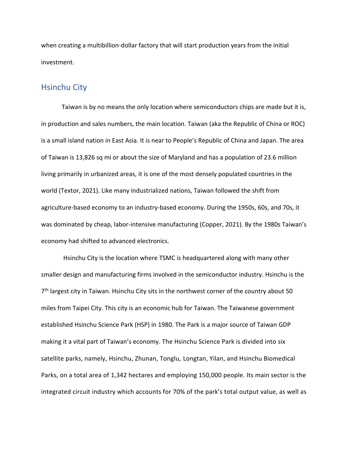when creating a multibillion-dollar factory that will start production years from the initial investment.

### Hsinchu City

Taiwan is by no means the only location where semiconductors chips are made but it is, in production and sales numbers, the main location. Taiwan (aka the Republic of China or ROC) is a small island nation in East Asia. It is near to People's Republic of China and Japan. The area of Taiwan is 13,826 sq mi or about the size of Maryland and has a population of 23.6 million living primarily in urbanized areas, it is one of the most densely populated countries in the world (Textor, 2021). Like many industrialized nations, Taiwan followed the shift from agriculture-based economy to an industry-based economy. During the 1950s, 60s, and 70s, it was dominated by cheap, labor-intensive manufacturing (Copper, 2021). By the 1980s Taiwan's economy had shifted to advanced electronics.

Hsinchu City is the location where TSMC is headquartered along with many other smaller design and manufacturing firms involved in the semiconductor industry. Hsinchu is the 7<sup>th</sup> largest city in Taiwan. Hsinchu City sits in the northwest corner of the country about 50 miles from Taipei City. This city is an economic hub for Taiwan. The Taiwanese government established Hsinchu Science Park (HSP) in 1980. The Park is a major source of Taiwan GDP making it a vital part of Taiwan's economy. The Hsinchu Science Park is divided into six satellite parks, namely, Hsinchu, Zhunan, Tonglu, Longtan, Yilan, and Hsinchu Biomedical Parks, on a total area of 1,342 hectares and employing 150,000 people. Its main sector is the integrated circuit industry which accounts for 70% of the park's total output value, as well as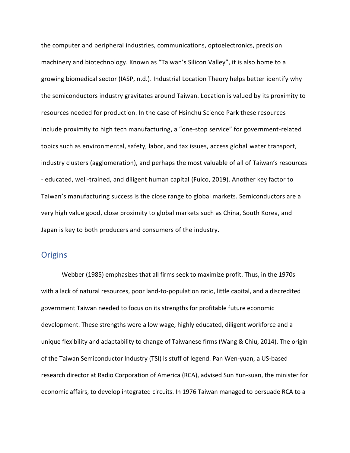the computer and peripheral industries, communications, optoelectronics, precision machinery and biotechnology. Known as "Taiwan's Silicon Valley", it is also home to a growing biomedical sector (IASP, n.d.). Industrial Location Theory helps better identify why the semiconductors industry gravitates around Taiwan. Location is valued by its proximity to resources needed for production. In the case of Hsinchu Science Park these resources include proximity to high tech manufacturing, a "one-stop service" for government-related topics such as environmental, safety, labor, and tax issues, access global water transport, industry clusters (agglomeration), and perhaps the most valuable of all of Taiwan's resources - educated, well-trained, and diligent human capital (Fulco, 2019). Another key factor to Taiwan's manufacturing success is the close range to global markets. Semiconductors are a very high value good, close proximity to global markets such as China, South Korea, and Japan is key to both producers and consumers of the industry.

#### **Origins**

Webber (1985) emphasizes that all firms seek to maximize profit. Thus, in the 1970s with a lack of natural resources, poor land-to-population ratio, little capital, and a discredited government Taiwan needed to focus on its strengths for profitable future economic development. These strengths were a low wage, highly educated, diligent workforce and a unique flexibility and adaptability to change of Taiwanese firms (Wang & Chiu, 2014). The origin of the Taiwan Semiconductor Industry (TSI) is stuff of legend. Pan Wen-yuan, a US-based research director at Radio Corporation of America (RCA), advised Sun Yun-suan, the minister for economic affairs, to develop integrated circuits. In 1976 Taiwan managed to persuade RCA to a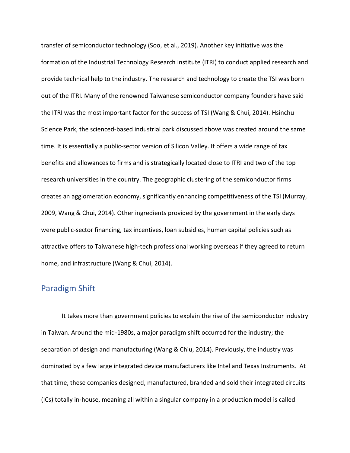transfer of semiconductor technology (Soo, et al., 2019). Another key initiative was the formation of the Industrial Technology Research Institute (ITRI) to conduct applied research and provide technical help to the industry. The research and technology to create the TSI was born out of the ITRI. Many of the renowned Taiwanese semiconductor company founders have said the ITRI was the most important factor for the success of TSI (Wang & Chui, 2014). Hsinchu Science Park, the scienced-based industrial park discussed above was created around the same time. It is essentially a public-sector version of Silicon Valley. It offers a wide range of tax benefits and allowances to firms and is strategically located close to ITRI and two of the top research universities in the country. The geographic clustering of the semiconductor firms creates an agglomeration economy, significantly enhancing competitiveness of the TSI (Murray, 2009, Wang & Chui, 2014). Other ingredients provided by the government in the early days were public-sector financing, tax incentives, loan subsidies, human capital policies such as attractive offers to Taiwanese high-tech professional working overseas if they agreed to return home, and infrastructure (Wang & Chui, 2014).

## Paradigm Shift

It takes more than government policies to explain the rise of the semiconductor industry in Taiwan. Around the mid-1980s, a major paradigm shift occurred for the industry; the separation of design and manufacturing (Wang & Chiu, 2014). Previously, the industry was dominated by a few large integrated device manufacturers like Intel and Texas Instruments. At that time, these companies designed, manufactured, branded and sold their integrated circuits (ICs) totally in-house, meaning all within a singular company in a production model is called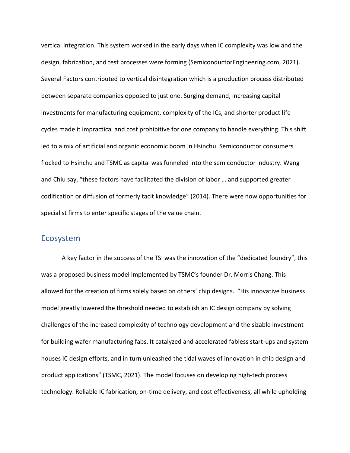vertical integration. This system worked in the early days when IC complexity was low and the design, fabrication, and test processes were forming (SemiconductorEngineering.com, 2021). Several Factors contributed to vertical disintegration which is a production process distributed between separate companies opposed to just one. Surging demand, increasing capital investments for manufacturing equipment, complexity of the ICs, and shorter product life cycles made it impractical and cost prohibitive for one company to handle everything. This shift led to a mix of artificial and organic economic boom in Hsinchu. Semiconductor consumers flocked to Hsinchu and TSMC as capital was funneled into the semiconductor industry. Wang and Chiu say, "these factors have facilitated the division of labor … and supported greater codification or diffusion of formerly tacit knowledge" (2014). There were now opportunities for specialist firms to enter specific stages of the value chain.

#### Ecosystem

A key factor in the success of the TSI was the innovation of the "dedicated foundry", this was a proposed business model implemented by TSMC's founder Dr. Morris Chang. This allowed for the creation of firms solely based on others' chip designs. "His innovative business model greatly lowered the threshold needed to establish an IC design company by solving challenges of the increased complexity of technology development and the sizable investment for building wafer manufacturing fabs. It catalyzed and accelerated fabless start-ups and system houses IC design efforts, and in turn unleashed the tidal waves of innovation in chip design and product applications" (TSMC, 2021). The model focuses on developing high-tech process technology. Reliable IC fabrication, on-time delivery, and cost effectiveness, all while upholding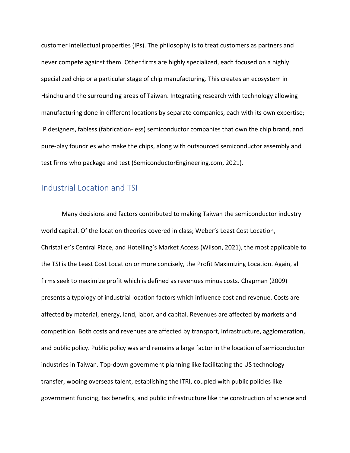customer intellectual properties (IPs). The philosophy is to treat customers as partners and never compete against them. Other firms are highly specialized, each focused on a highly specialized chip or a particular stage of chip manufacturing. This creates an ecosystem in Hsinchu and the surrounding areas of Taiwan. Integrating research with technology allowing manufacturing done in different locations by separate companies, each with its own expertise; IP designers, fabless (fabrication-less) semiconductor companies that own the chip brand, and pure-play foundries who make the chips, along with outsourced semiconductor assembly and test firms who package and test (SemiconductorEngineering.com, 2021).

# Industrial Location and TSI

Many decisions and factors contributed to making Taiwan the semiconductor industry world capital. Of the location theories covered in class; Weber's Least Cost Location, Christaller's Central Place, and Hotelling's Market Access (Wilson, 2021), the most applicable to the TSI is the Least Cost Location or more concisely, the Profit Maximizing Location. Again, all firms seek to maximize profit which is defined as revenues minus costs. Chapman (2009) presents a typology of industrial location factors which influence cost and revenue. Costs are affected by material, energy, land, labor, and capital. Revenues are affected by markets and competition. Both costs and revenues are affected by transport, infrastructure, agglomeration, and public policy. Public policy was and remains a large factor in the location of semiconductor industries in Taiwan. Top-down government planning like facilitating the US technology transfer, wooing overseas talent, establishing the ITRI, coupled with public policies like government funding, tax benefits, and public infrastructure like the construction of science and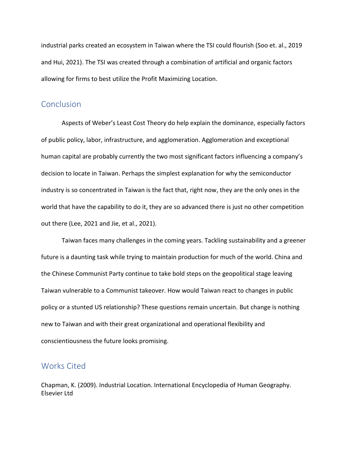industrial parks created an ecosystem in Taiwan where the TSI could flourish (Soo et. al., 2019 and Hui, 2021). The TSI was created through a combination of artificial and organic factors allowing for firms to best utilize the Profit Maximizing Location.

## **Conclusion**

Aspects of Weber's Least Cost Theory do help explain the dominance, especially factors of public policy, labor, infrastructure, and agglomeration. Agglomeration and exceptional human capital are probably currently the two most significant factors influencing a company's decision to locate in Taiwan. Perhaps the simplest explanation for why the semiconductor industry is so concentrated in Taiwan is the fact that, right now, they are the only ones in the world that have the capability to do it, they are so advanced there is just no other competition out there (Lee, 2021 and Jie, et al., 2021).

Taiwan faces many challenges in the coming years. Tackling sustainability and a greener future is a daunting task while trying to maintain production for much of the world. China and the Chinese Communist Party continue to take bold steps on the geopolitical stage leaving Taiwan vulnerable to a Communist takeover. How would Taiwan react to changes in public policy or a stunted US relationship? These questions remain uncertain. But change is nothing new to Taiwan and with their great organizational and operational flexibility and conscientiousness the future looks promising.

#### Works Cited

Chapman, K. (2009). Industrial Location. International Encyclopedia of Human Geography. Elsevier Ltd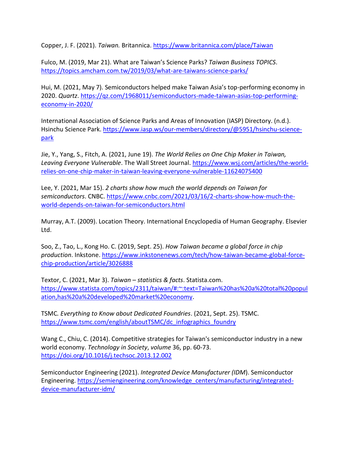Copper, J. F. (2021). *Taiwan.* Britannica. <https://www.britannica.com/place/Taiwan>

Fulco, M. (2019, Mar 21). What are Taiwan's Science Parks? *Taiwan Business TOPICS*. <https://topics.amcham.com.tw/2019/03/what-are-taiwans-science-parks/>

Hui, M. (2021, May 7). Semiconductors helped make Taiwan Asia's top-performing economy in 2020. *Quartz*. [https://qz.com/1968011/semiconductors-made-taiwan-asias-top-performing](https://qz.com/1968011/semiconductors-made-taiwan-asias-top-performing-economy-in-2020/)[economy-in-2020/](https://qz.com/1968011/semiconductors-made-taiwan-asias-top-performing-economy-in-2020/)

International Association of Science Parks and Areas of Innovation (IASP) Directory. (n.d.). Hsinchu Science Park. [https://www.iasp.ws/our-members/directory/@5951/hsinchu-science](https://www.iasp.ws/our-members/directory/@5951/hsinchu-science-park)[park](https://www.iasp.ws/our-members/directory/@5951/hsinchu-science-park)

Jie, Y., Yang, S., Fitch, A. (2021, June 19). *The World Relies on One Chip Maker in Taiwan, Leaving Everyone Vulnerable*. The Wall Street Journal[. https://www.wsj.com/articles/the-world](https://www.wsj.com/articles/the-world-relies-on-one-chip-maker-in-taiwan-leaving-everyone-vulnerable-11624075400)[relies-on-one-chip-maker-in-taiwan-leaving-everyone-vulnerable-11624075400](https://www.wsj.com/articles/the-world-relies-on-one-chip-maker-in-taiwan-leaving-everyone-vulnerable-11624075400)

Lee, Y. (2021, Mar 15). *2 charts show how much the world depends on Taiwan for semiconductors*. CNBC. [https://www.cnbc.com/2021/03/16/2-charts-show-how-much-the](https://www.cnbc.com/2021/03/16/2-charts-show-how-much-the-world-depends-on-taiwan-for-semiconductors.html)[world-depends-on-taiwan-for-semiconductors.html](https://www.cnbc.com/2021/03/16/2-charts-show-how-much-the-world-depends-on-taiwan-for-semiconductors.html)

Murray, A.T. (2009). Location Theory. International Encyclopedia of Human Geography. Elsevier Ltd.

Soo, Z., Tao, L., Kong Ho. C. (2019, Sept. 25). *How Taiwan became a global force in chip production*. Inkstone. [https://www.inkstonenews.com/tech/how-taiwan-became-global-force](https://www.inkstonenews.com/tech/how-taiwan-became-global-force-chip-production/article/3026888)[chip-production/article/3026888](https://www.inkstonenews.com/tech/how-taiwan-became-global-force-chip-production/article/3026888)

Textor, C. (2021, Mar 3). *Taiwan – statistics & facts*. Statista.com. [https://www.statista.com/topics/2311/taiwan/#:~:text=Taiwan%20has%20a%20total%20popul](https://www.statista.com/topics/2311/taiwan/%23:~:text=Taiwan%20has%20a%20total%20population,has%20a%20developed%20market%20economy) [ation,has%20a%20developed%20market%20economy.](https://www.statista.com/topics/2311/taiwan/%23:~:text=Taiwan%20has%20a%20total%20population,has%20a%20developed%20market%20economy)

TSMC*. Everything to Know about Dedicated Foundries*. (2021, Sept. 25). TSMC. [https://www.tsmc.com/english/aboutTSMC/dc\\_infographics\\_foundry](https://www.tsmc.com/english/aboutTSMC/dc_infographics_foundry)

Wang C., Chiu, C. (2014). Competitive strategies for Taiwan's semiconductor industry in a new world economy. *Technology in Society*, *volume* 36, pp. 60-73. <https://doi.org/10.1016/j.techsoc.2013.12.002>

Semiconductor Engineering (2021). *Integrated Device Manufacturer (IDM*). Semiconductor Engineering. [https://semiengineering.com/knowledge\\_centers/manufacturing/integrated](https://semiengineering.com/knowledge_centers/manufacturing/integrated-device-manufacturer-idm/)[device-manufacturer-idm/](https://semiengineering.com/knowledge_centers/manufacturing/integrated-device-manufacturer-idm/)